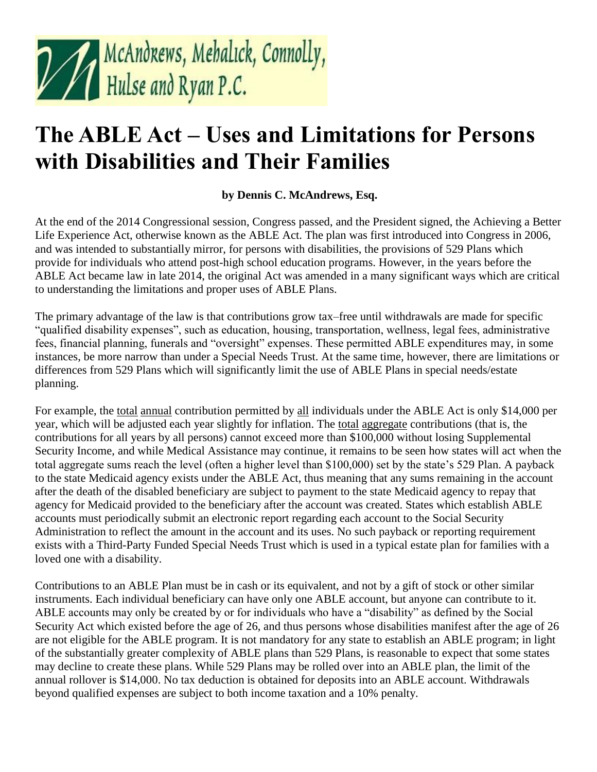

## **The ABLE Act – Uses and Limitations for Persons with Disabilities and Their Families**

## **by Dennis C. McAndrews, Esq.**

At the end of the 2014 Congressional session, Congress passed, and the President signed, the Achieving a Better Life Experience Act, otherwise known as the ABLE Act. The plan was first introduced into Congress in 2006, and was intended to substantially mirror, for persons with disabilities, the provisions of 529 Plans which provide for individuals who attend post-high school education programs. However, in the years before the ABLE Act became law in late 2014, the original Act was amended in a many significant ways which are critical to understanding the limitations and proper uses of ABLE Plans.

The primary advantage of the law is that contributions grow tax–free until withdrawals are made for specific "qualified disability expenses", such as education, housing, transportation, wellness, legal fees, administrative fees, financial planning, funerals and "oversight" expenses. These permitted ABLE expenditures may, in some instances, be more narrow than under a Special Needs Trust. At the same time, however, there are limitations or differences from 529 Plans which will significantly limit the use of ABLE Plans in special needs/estate planning.

For example, the total annual contribution permitted by all individuals under the ABLE Act is only \$14,000 per year, which will be adjusted each year slightly for inflation. The total aggregate contributions (that is, the contributions for all years by all persons) cannot exceed more than \$100,000 without losing Supplemental Security Income, and while Medical Assistance may continue, it remains to be seen how states will act when the total aggregate sums reach the level (often a higher level than \$100,000) set by the state's 529 Plan. A payback to the state Medicaid agency exists under the ABLE Act, thus meaning that any sums remaining in the account after the death of the disabled beneficiary are subject to payment to the state Medicaid agency to repay that agency for Medicaid provided to the beneficiary after the account was created. States which establish ABLE accounts must periodically submit an electronic report regarding each account to the Social Security Administration to reflect the amount in the account and its uses. No such payback or reporting requirement exists with a Third-Party Funded Special Needs Trust which is used in a typical estate plan for families with a loved one with a disability.

Contributions to an ABLE Plan must be in cash or its equivalent, and not by a gift of stock or other similar instruments. Each individual beneficiary can have only one ABLE account, but anyone can contribute to it. ABLE accounts may only be created by or for individuals who have a "disability" as defined by the Social Security Act which existed before the age of 26, and thus persons whose disabilities manifest after the age of 26 are not eligible for the ABLE program. It is not mandatory for any state to establish an ABLE program; in light of the substantially greater complexity of ABLE plans than 529 Plans, is reasonable to expect that some states may decline to create these plans. While 529 Plans may be rolled over into an ABLE plan, the limit of the annual rollover is \$14,000. No tax deduction is obtained for deposits into an ABLE account. Withdrawals beyond qualified expenses are subject to both income taxation and a 10% penalty.